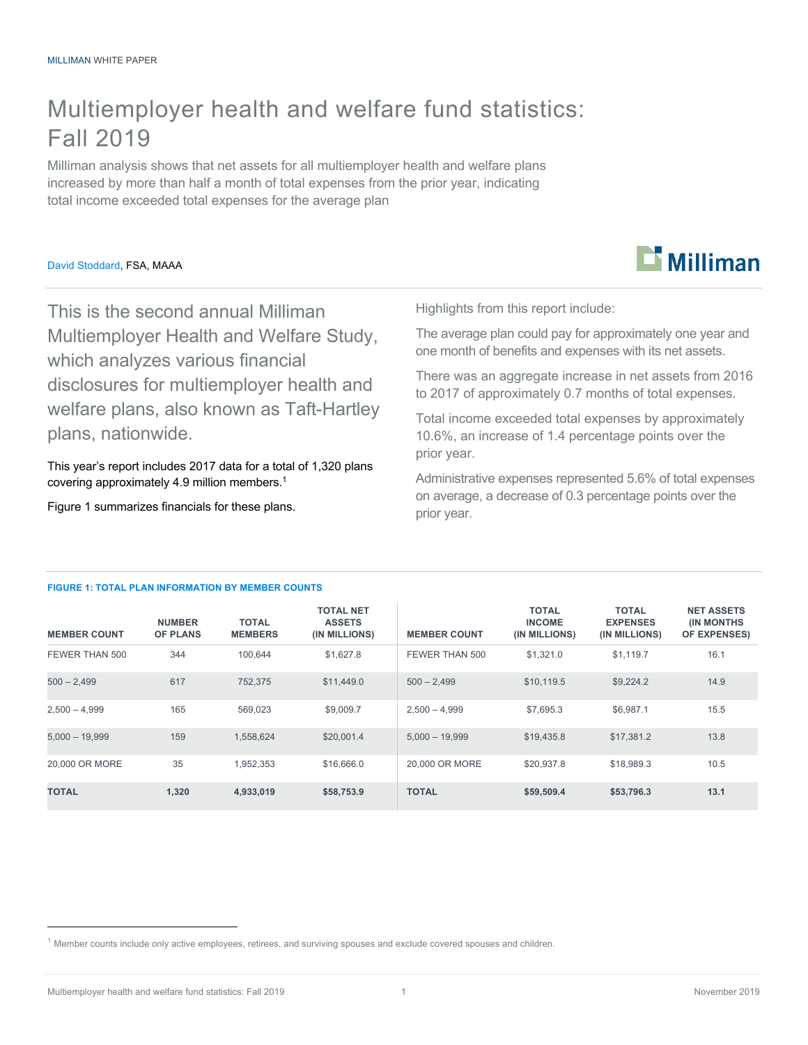## Multiemployer health and welfare fund statistics: Fall 2019

Milliman analysis shows that net assets for all multiemployer health and welfare plans increased by more than half a month of total expenses from the prior year, indicating total income exceeded total expenses for the average plan

#### David Stoddard, FSA, MAAA



This is the second annual Milliman Multiemployer Health and Welfare Study, which analyzes various financial disclosures for multiemployer health and welfare plans, also known as Taft-Hartley plans, nationwide.

This year's report includes 2017 data for a total of 1,320 plans covering approximately 4.9 million members. 1

Figure 1 summarizes financials for these plans.

Highlights from this report include:

The average plan could pay for approximately one year and one month of benefits and expenses with its net assets.

There was an aggregate increase in net assets from 2016 to 2017 of approximately 0.7 months of total expenses.

Total income exceeded total expenses by approximately 10.6%, an increase of 1.4 percentage points over the prior year.

Administrative expenses represented 5.6% of total expenses on average, a decrease of 0.3 percentage points over the prior year.

#### **FIGURE 1: TOTAL PLAN INFORMATION BY MEMBER COUNTS**

| <b>MEMBER COUNT</b> | <b>NUMBER</b><br><b>OF PLANS</b> | <b>TOTAL</b><br><b>MEMBERS</b> | <b>TOTAL NET</b><br><b>ASSETS</b><br>(IN MILLIONS) | <b>MEMBER COUNT</b> | <b>TOTAL</b><br><b>INCOME</b><br>(IN MILLIONS) | <b>TOTAL</b><br><b>EXPENSES</b><br>(IN MILLIONS) | <b>NET ASSETS</b><br><b>(IN MONTHS)</b><br>OF EXPENSES) |
|---------------------|----------------------------------|--------------------------------|----------------------------------------------------|---------------------|------------------------------------------------|--------------------------------------------------|---------------------------------------------------------|
| FEWER THAN 500      | 344                              | 100.644                        | \$1,627.8                                          | FEWER THAN 500      | \$1,321.0                                      | \$1.119.7                                        | 16.1                                                    |
| $500 - 2.499$       | 617                              | 752,375                        | \$11,449.0                                         | $500 - 2.499$       | \$10,119.5                                     | \$9,224.2                                        | 14.9                                                    |
| $2.500 - 4.999$     | 165                              | 569.023                        | \$9,009.7                                          | $2.500 - 4.999$     | \$7.695.3                                      | \$6.987.1                                        | 15.5                                                    |
| $5,000 - 19,999$    | 159                              | 1,558,624                      | \$20,001.4                                         | $5,000 - 19,999$    | \$19,435.8                                     | \$17,381.2                                       | 13.8                                                    |
| 20,000 OR MORE      | 35                               | 1,952,353                      | \$16,666.0                                         | 20,000 OR MORE      | \$20,937.8                                     | \$18,989.3                                       | 10.5                                                    |
| <b>TOTAL</b>        | 1.320                            | 4,933,019                      | \$58,753.9                                         | <b>TOTAL</b>        | \$59,509.4                                     | \$53,796.3                                       | 13.1                                                    |

 $1$  Member counts include only active employees, retirees, and surviving spouses and exclude covered spouses and children.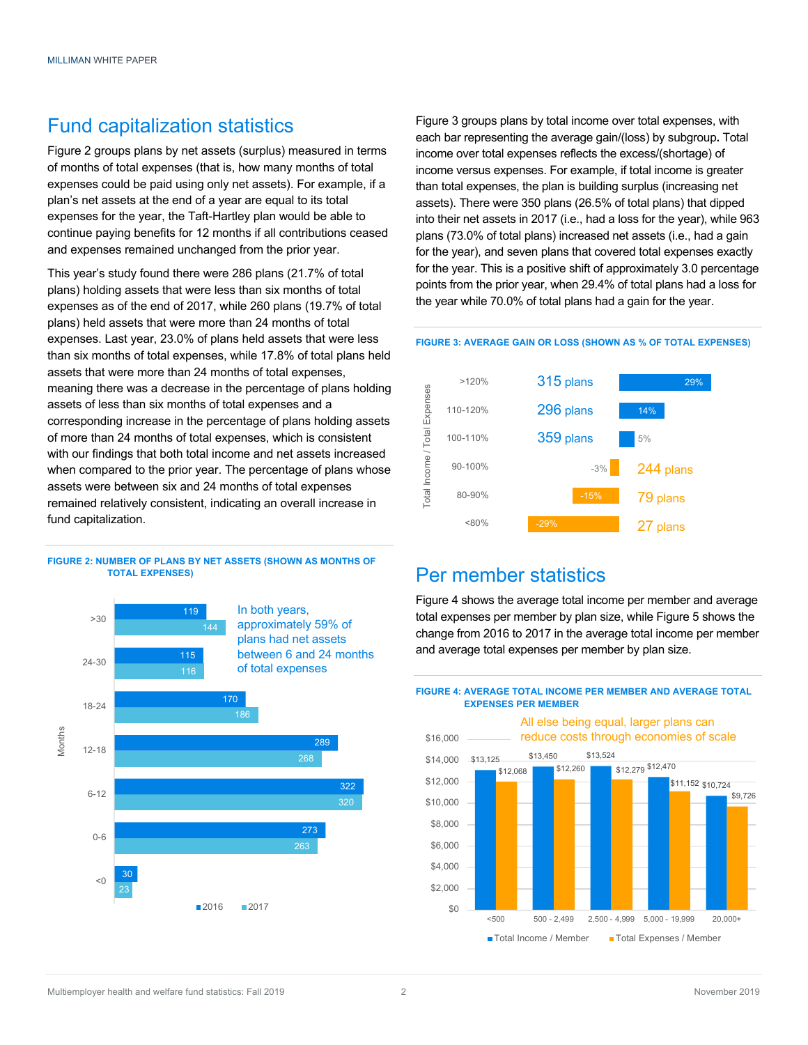## Fund capitalization statistics

Figure 2 groups plans by net assets (surplus) measured in terms of months of total expenses (that is, how many months of total expenses could be paid using only net assets). For example, if a plan's net assets at the end of a year are equal to its total expenses for the year, the Taft-Hartley plan would be able to continue paying benefits for 12 months if all contributions ceased and expenses remained unchanged from the prior year.

This year's study found there were 286 plans (21.7% of total plans) holding assets that were less than six months of total expenses as of the end of 2017, while 260 plans (19.7% of total plans) held assets that were more than 24 months of total expenses. Last year, 23.0% of plans held assets that were less than six months of total expenses, while 17.8% of total plans held assets that were more than 24 months of total expenses, meaning there was a decrease in the percentage of plans holding assets of less than six months of total expenses and a corresponding increase in the percentage of plans holding assets of more than 24 months of total expenses, which is consistent with our findings that both total income and net assets increased when compared to the prior year. The percentage of plans whose assets were between six and 24 months of total expenses remained relatively consistent, indicating an overall increase in fund capitalization.

#### **FIGURE 2: NUMBER OF PLANS BY NET ASSETS (SHOWN AS MONTHS OF TOTAL EXPENSES)**



Figure 3 groups plans by total income over total expenses, with each bar representing the average gain/(loss) by subgroup**.** Total income over total expenses reflects the excess/(shortage) of income versus expenses. For example, if total income is greater than total expenses, the plan is building surplus (increasing net assets). There were 350 plans (26.5% of total plans) that dipped into their net assets in 2017 (i.e., had a loss for the year), while 963 plans (73.0% of total plans) increased net assets (i.e., had a gain for the year), and seven plans that covered total expenses exactly for the year. This is a positive shift of approximately 3.0 percentage points from the prior year, when 29.4% of total plans had a loss for the year while 70.0% of total plans had a gain for the year.

#### **FIGURE 3: AVERAGE GAIN OR LOSS (SHOWN AS % OF TOTAL EXPENSES)**



### Per member statistics

Figure 4 shows the average total income per member and average total expenses per member by plan size, while Figure 5 shows the change from 2016 to 2017 in the average total income per member and average total expenses per member by plan size.



#### **FIGURE 4: AVERAGE TOTAL INCOME PER MEMBER AND AVERAGE TOTAL EXPENSES PER MEMBER**

Multiemployer health and welfare fund statistics: Fall 2019 2 2 November 2019 2 November 2019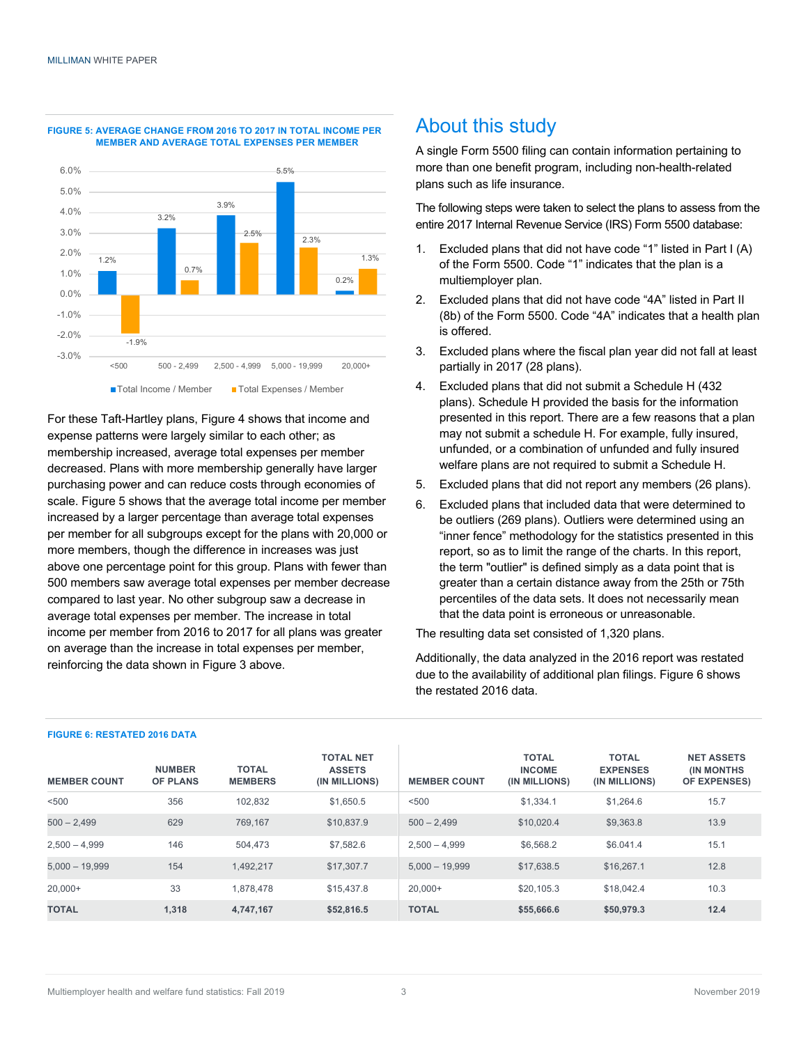

#### **FIGURE 5: AVERAGE CHANGE FROM 2016 TO 2017 IN TOTAL INCOME PER MEMBER AND AVERAGE TOTAL EXPENSES PER MEMBER**

For these Taft-Hartley plans, Figure 4 shows that income and expense patterns were largely similar to each other; as membership increased, average total expenses per member decreased. Plans with more membership generally have larger purchasing power and can reduce costs through economies of scale. Figure 5 shows that the average total income per member increased by a larger percentage than average total expenses per member for all subgroups except for the plans with 20,000 or more members, though the difference in increases was just above one percentage point for this group. Plans with fewer than 500 members saw average total expenses per member decrease compared to last year. No other subgroup saw a decrease in average total expenses per member. The increase in total income per member from 2016 to 2017 for all plans was greater on average than the increase in total expenses per member, reinforcing the data shown in Figure 3 above.

## About this study

A single Form 5500 filing can contain information pertaining to more than one benefit program, including non-health-related plans such as life insurance.

The following steps were taken to select the plans to assess from the entire 2017 Internal Revenue Service (IRS) Form 5500 database:

- 1. Excluded plans that did not have code "1" listed in Part I (A) of the Form 5500. Code "1" indicates that the plan is a multiemployer plan.
- 2. Excluded plans that did not have code "4A" listed in Part II (8b) of the Form 5500. Code "4A" indicates that a health plan is offered.
- 3. Excluded plans where the fiscal plan year did not fall at least partially in 2017 (28 plans).
- 4. Excluded plans that did not submit a Schedule H (432 plans). Schedule H provided the basis for the information presented in this report. There are a few reasons that a plan may not submit a schedule H. For example, fully insured, unfunded, or a combination of unfunded and fully insured welfare plans are not required to submit a Schedule H.
- 5. Excluded plans that did not report any members (26 plans).
- 6. Excluded plans that included data that were determined to be outliers (269 plans). Outliers were determined using an "inner fence" methodology for the statistics presented in this report, so as to limit the range of the charts. In this report, the term "outlier" is defined simply as a data point that is greater than a certain distance away from the 25th or 75th percentiles of the data sets. It does not necessarily mean that the data point is erroneous or unreasonable.

The resulting data set consisted of 1,320 plans.

Additionally, the data analyzed in the 2016 report was restated due to the availability of additional plan filings. Figure 6 shows the restated 2016 data.

| <b>MEMBER COUNT</b> | <b>NUMBER</b><br><b>OF PLANS</b> | <b>TOTAL</b><br><b>MEMBERS</b> | <b>TOTAL NET</b><br><b>ASSETS</b><br>(IN MILLIONS) | <b>MEMBER COUNT</b> | <b>TOTAL</b><br><b>INCOME</b><br>(IN MILLIONS) | <b>TOTAL</b><br><b>EXPENSES</b><br>(IN MILLIONS) | <b>NET ASSETS</b><br><b>IN MONTHS</b><br><b>OF EXPENSES)</b> |
|---------------------|----------------------------------|--------------------------------|----------------------------------------------------|---------------------|------------------------------------------------|--------------------------------------------------|--------------------------------------------------------------|
| < 500               | 356                              | 102.832                        | \$1,650.5                                          | < 500               | \$1.334.1                                      | \$1,264.6                                        | 15.7                                                         |
| $500 - 2.499$       | 629                              | 769.167                        | \$10,837.9                                         | $500 - 2.499$       | \$10,020.4                                     | \$9,363.8                                        | 13.9                                                         |
| $2.500 - 4.999$     | 146                              | 504.473                        | \$7.582.6                                          | $2.500 - 4.999$     | \$6.568.2                                      | \$6.041.4                                        | 15.1                                                         |
| $5,000 - 19,999$    | 154                              | 1.492.217                      | \$17,307.7                                         | $5,000 - 19,999$    | \$17,638.5                                     | \$16,267.1                                       | 12.8                                                         |
| $20.000+$           | 33                               | 1.878.478                      | \$15,437.8                                         | $20.000+$           | \$20,105.3                                     | \$18,042.4                                       | 10.3                                                         |
| <b>TOTAL</b>        | 1.318                            | 4.747.167                      | \$52,816.5                                         | <b>TOTAL</b>        | \$55,666.6                                     | \$50,979.3                                       | 12.4                                                         |

#### **FIGURE 6: RESTATED 2016 DATA**